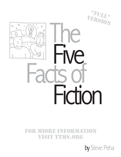



 $\bigtimes$ 

#### For Miore inForMation Visit ttMs.org

by Steve Peha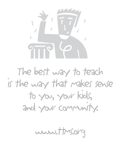

The best way to teach is the way that makes sense to you, your kids, and your community.

www.ttms.org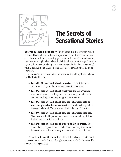



#### **The Secrets of Sensational Stories**

**Everybody loves a good story.** But it's just as true that everybody hates a bad one. There's a lot on the line when you write fiction. Readers have high expectations. Many have been reading great stories by the world's best writers since they were old enough to hold a book in their hands and turn the pages. Personally, I find this quite intimidating. I make no secret of the fact that I am afraid of writing fiction. But that doesn't mean I won't give it a try. Especially if I have a little help.

A few years ago, I learned that if I want to write a good story, I need to know the Five Facts of Fiction:

- **Fact #1: Fiction is all about character.** The best stories are built around rich, complex, extremely interesting characters.
- **Fact #2: Fiction is all about what your character wants.** Your character wants one thing more than anything else in the world and that one thing drives everything your character does.
- **Fact #3: Fiction is all about how your character gets or does not get what he or she wants.** Some characters get what they want, others fail. This is how you develop the plot of your story.
- **Fact #4: Fiction is all about how your character changes.** After everything that happens, your character is forever changed. This is what makes your story meaningful.
- **Fact #5: Fiction is all about a world that you create.** You choose the people, places, things, and ideas in your story. Your choices influence the meaning of the story and your readers' level of interest.

Fiction is the hardest kind of writing to do well. It challenges even the most competent professionals. But with the right tools, even fearful fiction writers like me can give it a good shot.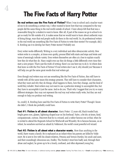## **The Five Facts of Harry Potter**

4

**Do real writers use the Five Facts of Fiction?** When I was in school and a teacher wanted me to do something a certain way, I often wanted to know how that way compared to the way people did the same thing in the real world outside of school. I have always felt that that was a reasonable thing for a student to want to know. After all, if part of the reason we go to school is to get us ready for life outside of it, it makes sense that we would want to learn about authentic ways of doing things, ways that real people really do them in the real world. So, do professional writers in the real world use something like Five Facts of Fiction to write their stories? For example, did J. K. Rowling use it to develop her Harry Potter stories? Probably not.

Every writer works differently. Writing is a very individual and often idiosyncratic activity. How writers write is a complex, at times even quirky, process filled with starts and stops and twists and turns of seemingly infinite variety. Even writers themselves are often at a loss to explain exactly how they do what they do. Many might even say they do things a little differently every time they start a new project. That's just the truth of writing: there's no one best way to do it. So where does that leave us with the Five Facts of Fiction? If real writers don't use it, why should you? Because it will help you get the same great results that real writers get.

Even though real writers may not use something like the Five Facts of Fiction, they still have to wrestle with all the same issues this strategy presents. They still have to consider their characters, what they want and why they do things, what happens to them, how they change, and the kind of world they inhabit. Most writers may not want to use a particular strategy to accomplish this, but they have to accomplish it just the same. And so do you. That's why I suggest that you try so many different strategies: they may not represent the real way real writers really write, but they are real enough to help you produce real writing.

So, could J. K. Rowling have used the Five Facts of Fiction to write Harry Potter? Though I know she didn't, I think she probably could have.

**Fact #1: Fiction is all about character.** Harry Potter: 12 years old, black tousled hair, bright green eyes, glasses, lightning-shaped scar on his forehead. Naïve, a bit shy at times, kind, compassionate, curious. Discovers that he is a wizard, and a rather famous one at that, when he is invited to attend the Hogwarts School for Witchcraft and Wizardry. He is famous because, as an infant, he somehow survived an attack by Voldemort, the world's most powerful evil wizard.

**Fact #2: Fiction is all about what a character wants.** More than anything in the world, Harry wants a family. He is orphaned as an infant when his parents are killed by Voldemort. He is sent to live with his closest relatives, Petunia and Vernon Dursley, his uncle and aunt, and their exceedingly obnoxious son, Dudley. The Dursley's treat him badly and, through their abuse and neglect, he grows up to be a lonely, confused, and often depressed young boy.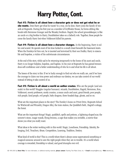## **Harry Potter, Cont.**

**Fact #3: Fiction is all about how a character gets or does not get what he or**

**she wants.** Does Harry get what he wants? In a way, yes he does. Harry joins the family of wizards at Hogwarts. During his first year as a member of Gryffindor House, he forms sibling-like bonds with Hermione Granger and the Weasley brothers. Hagrid, the school groundskeeper, is like an uncle or a big brother to Harry; Dumbledore takes on a fatherly role. Together, these people become the family Harry lost when Voldemort killed his parents.

**Fact #4: Fiction is all about how a character changes.** In the beginning, Harry is sullen and scared. He spends most of his time locked in a small closet beneath the basement stairs. When the Dursleys let him out, he is taunted and terrorized by their son Dudley. Harry is miserable and hopeless, a victim of his unfortunate circumstances.

At the end of the story, while sad to be returning temporarily to the home of his aunt and uncle, Harry is no longer helpless, hopeless, and hapless. In his year at Hogwarts he has gained tremendous self-confidence and a better understanding of who he is and what his life is all about.

The lesson of the story is this: If we're lucky enough to find out who we really are, and if we have the courage to claim our true power and embrace our destiny, we can take control of our world instead of letting it take control of us.

**Fact #5: Fiction is all about a world an author creates.** Who are the people (and animals) in this world? Muggles (regular humans), wizards, Dumbledore, Hagrid, Hermione, Ron, Voldemort, snooty professors, snotty cousins, a mean uncle and aunt, great friends, poor people, rich people, kind people, evil people, baby dragons, three-headed dogs, ghosts, and so on.

What are the important places in the story? The Dursley's home on Privet Drive, Hogwarts School for Witchcraft and Wizardry, Diagon Alley, the train station, the Quidditch field., Hagrid's cottage, the forest.

What are the important things? Magic, quidditch, spells and potions, a lightning-shaped scar, the sorcerer's stone, magic wands, flying brooms, a cape that makes you invisible, a mirror that shows you what you really want.

What ideas is the writer working with in this world: Magic, Loneliness, Friendship, Identity, Belonging, Evil, Treachery, Abuse, Competition, Learning, Tradition, Destiny.

What kind of world is this? This is a world where there's always some supernatural something or magical someone around to save the right people when they are in trouble. It's a world where courage is rewarded, friendship is valued, and good triumphs over evil.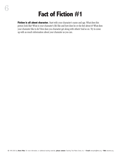#### **Fact of Fiction #1**

**Fiction is all about character.** Start with your character's name and age. What does this person look like? What is your character's life like and how does he or she feel about it? What does your character like to do? How does you character get along with others? And so on. Try to come up with as much information about your character as you can.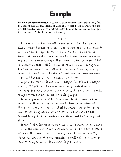#### **Example**

7

**Fiction is all about character.** To come up with my character I thought about things from my childhood, but I also threw in some things from my brother's life and the lives of other kids I knew. (This is called making a "composite" character. It's one of the most common techniques fiction writers use.) A lot of it, however, is just made up.

#### JEREMY

Jeremy is 11 and in the 6th grade. He has black hair that's always messy because he doesn't like to take the time to brush it. He's short for his age. He seems really short compared to his friends at the middle school because he skipped second grade and he's actually a year younger than they are. He's very smart but he doesn't do that well in school. He thinks school is boring and pointless. He doesn't like most of his teachers. Actually, Jeremy doesn't like most adults. He doesn't think most of them are very smart and because of that he doesn't trust them.

In general, Jeremy is not a very happy kid. He's not unhappy exactly. It's just that he never seems very content with anything. He's very energetic and intense, always trying to make things better. But he can also be a bit grumpy.

Jeremy spends a lot of his time alone. He has friends but he doesn't see them that often because he likes to do different things than they do. Even at school he seems more or less on his own. He has a dog named Bishop that he really likes. He has trained Bishop to do all kinds of cool things and he's very proud of that.

Jeremy's favorite place to hang out is in his room. He has a huge room in the basement of his house which he has put a lot of effort into over the years to make it really cool. He has his own TV, a stereo system, and his prize possession: a really fast computer. His favorite thing to do on his computer is play chess.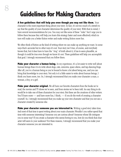## **Guidelines for Making Characters**

8

**A few guidelines that will help you even though you may not like them.** Your character is the most important thing about your story. In fact, it's not too much of a stretch to say that the quality of your character determines the quality of your story. With that in mind, I have several recommendations for you. You may not like some of these "rules" but I urge you to follow them because they will help you learn this strategy faster and more effectively which in turn will make you a better fiction writer and make writing fiction more fun.

We often think of fiction as the kind of writing where we can make up anything we want. In some ways that's accurate but in other ways it's not. Your story isn't true, of course, and everybody knows that, but it does have to have the "ring" of truth about it, it has to seem plausible, as though it could be true even though we know it's not. These guidelines will help you accomplish that goal. I strongly recommend that you follow them.

**Make your character a human being.** In my experience, it's a lot easier to write well about human beings than it is to write about dogs, cats, unicorns, space aliens, and tap-dancing frogs. After all, you're a human being so you're bound to know a lot about being one, and you can bring that knowledge to your story. Not only is it a little easier to write about human beings, I think you learn more, too. So, I strongly recommend that you make your character a man, a woman, a boy, or a girl.

**Make your character original.** We all have our favorite characters from the books we've read, the movies and TV shows we've seen, and from stories we've been told. An easy thing to do would be to take one of these characters for your story. But these are the creations of other writers. You'll learn more — and have more fun, I think, — if you do the work of creating a character yourself. So, I strongly recommend that you make up your own character and that you not use a character created by someone else.

**Make your character someone you are interested in.** Writing a good story takes time. And most of that time is spent writing about your main character. Wouldn't you rather spend that time with someone interesting? Someone you are curious about? Someone whose life intrigues you in some way? If you create a character who seems boring to you, how do you think that character will seem to your audience? For these reasons, I strongly recommend that you make your character someone you are interested in.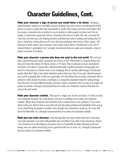## **Character Guidelines, Cont.**

9

**Make your character a type of person you would know a lot about.** Creating a great character requires an incredible amount of detail. You have to know everything about this person in order to render their life successfully in words. This means you'll be much better off if you create a character who is similar to you or similar to other people you know well. For example, I could write a great story about a character who lives in Seattle, WA, who is around 40 years old, and who has a job helping teachers and kids learn about reading and writing. But I'd have a hard time writing about an 85-year old circus performer who lives in Tokyo, Japan. (If I did want to write about a type of person I don't know much about, I would have to do a lot of research before I got started.) So, I strongly recommend that you make your character a type of person you know a lot about.

**Make your character a person who does not exist in the real world.** Why not just take a good friend and make a character out of him or her? This person is a human being who has never been the subject of a book, movie, or TV show. This is someone you are interested in and know a lot about. It seems like a friend would make a perfect character. Using people you know for characters in a fiction story is very tempting. But it's not the safest thing to do because people often don't like to have their identities used in that way. Even if you ask a friend's permission and it is granted, this is still not a good idea. You should feel free to create a character who is similar to other people you know, or perhaps is a composite character formed by taking things from the lives of several different people, but don't create a character who is a copy of a single real person you know. I strongly recommend that you make your character a person who does not exist in the real world.

**Make your character realistic.** This can be a tough one. On the one hand, I've told you that your character shouldn't be a real person, and now I'm telling you to make your character realistic. What's that all about? Your character has to make sense to your audience. If you write about a five-year old boy who is seven feet tall and who plays professional basketball, that's going to be a hard thing for people to swallow. Even though your character is made up, he or she still has to be believable. So, I strongly recommend that you make your character realistic.

**Make just one main character.** Even though there are many stories that have more than one main character, your story will probably turn out better if you stick to the minimum. There's a lot of work to do in developing a character and you'll probably be better off putting all your energy into one rather than trying to do a good job with two or more. So, I strongly recommend that you make your character realistic.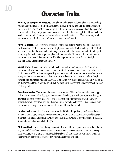#### **Character Traits**

**The key to complex characters.** To make your characters rich, complex, and compelling, you need to generate a lot of information about them. But where does this all this information come from and how do writers make it up? One thing writers do is consider different properties of human nature, things all people share in common and that therefore apply to all human characters in stories as well. These properties are referred to as character traits. There are many kinds character traits to think about, but here are some that I find useful.

**Physical traits.** This covers your character's name, age, height, weight, hair color, eye color, etc. Every character has hundreds of possible physical traits so the trick is picking out those that are most relevant to the story. A character's eye color or hair color may never factor into the plot in any way. But a character's age may play an important role if it makes doing something the character wants to do difficult or impossible. The important thing is not the trait itself, but how that trait affects the character and the story.

**Social traits.** This is about how your character interacts with other people. Who are your character's friends? Does your character have any at all? How does your character get along with family members? What about strangers? Is your character an introvert or an extrovert? And so on. How your character functions socially in your story will determine many things about the plot. For example, characters who aren't very social tend to be very independent as well. They do things on their own and this usually works out well for them until they come up against something they need help with.

**Emotional traits.** This is about how your character feels. What makes your character happy, sad, angry, or scared? What does your character do when he or she feels this way? How does your character feel most of the time? This is one of the most important aspects of your character because how your character feels will determine what your character does. It also includes your character's self-image, how your character feels about himself or herself.

**Intellectual traits.** How does your character think? What things does your character know a lot about? In what areas is your character confused or unaware? Is your character deliberate and analytical? Or casual and impulsive? How does your character react to new information, puzzles, ambiguity, and other mental challenges?

**Philosophical traits.** Even though we don't think about it much, everyone has a life philosophy, a set of beliefs about the way the world works upon which we base our actions and perceptions. What are your character's strongest beliefs about life and about the world in which he or she lives? How do those beliefs affect how your character acts and feels?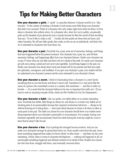## **Tips for Making Better Characters**

**Give your character a quirk.** A "quirk" is a peculiar behavior. A fancier word for it is "idiosyncracy." In the context of creating a character, it just means some little thing your character does that's very unusual. Think of a character who only makes right turns when he drives. Or how about a character who collects velcro. Or a character who, when he's out in public, occasionally picks up the handsets of pay phones for just a minute because he likes the sound of that recording that says, "If you'd like to make a call...". Usually, the best quirks are those that are funny and rather harmless. We all have little quirks; they make us who we are as individuals. And that's why we're interested in characters who have them, too.

**Give your character a past.** Everybody has a past, some set of memories, feelings, and things that have happened before the present moment. Your character has a past, too, and all these memories, feelings, and happenings affect how your character behaves. Maybe your character saw a scary TV show when he was little and that's why he's afraid of the dark. Or maybe your character got sick once eating a salad and now never eats vegetables. Good things happen in the past, too. Maybe your character has always been loved and treated well by her parents and that has made her optimistic, courageous, and confident. If you give your character a past, your readers will better understand your character's present and be more interested in your character's future.

**Give your character a secret.** I think it's fascinating when a character in a story knows something that no one else knows and doesn't want to tell. Sometimes it's a real secret like the name of a person who committed a crime in a mystery. But sometimes — and this is really my favorite — it's a secret that the character believes to be true or important but really isn't. (If you want to read an amazing example of this, check out *The Necklace* by Guy Du Maupassant.)

**Give your character a habit.** Like our quirks, our habits define us in certain interesting ways. Everybody has habits, little things we always do, and always in a certain way. Habits are interesting parts of our personalities because they represent involuntary behaviors — things we do without knowing we're doing them — that came about because we chose to do them so often at some point in the past. The habit you choose for your character should show your readers something important about your character's personality or circumstances. For example, having your character repeatedly and unconsciously check his watch during the work day might be a way to show that he doesn't like his job.

**Give your character a fear.** Fear is perhaps the strongest human emotion. And you can make your characters stronger by giving them fears, too. Fears usually come from the past. Sometimes something happened that makes us forever afraid. At other times — and these are the most interesting, I think, when it comes to character development — nothing real happened at all, we just thought something happened and allowed ourselves to be afraid of that. Readers love characters who have fears, struggle with them, and eventually overcome them.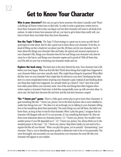#### **Get to Know Your Character**

**Who is your character?** How can you get to know someone who doesn't actually exist? That's a challenge all fiction writers have to deal with. In order to write a great story, writers have to know their characters well so they can figure out how their character will react in all kinds of situations. In order to know how someone will act, you have to get to know them really well, you have to know them even better than they know themselves.

**Use the Topic T-Charts.** The Topic T-Chart strategy is a great way to come up with lists of good topics to write about. But it's also a great way to learn about your character. To do this, instead of filling out the t-charts for you about your life, fill them out for your character. You'll learn about the things your character likes and hates, the typical and unusual experiences in your character's life, things your character does for fun and things your character only does because he or she has to, and things your character regrets and is proud of. With all those lists, you'll be well on your way to knowing your character inside and out.

**Explore the back story.** The back story is the story behind the story. Your character had a life before your story began. What was that life like? Think about things that might have happened to your character before your story actually starts. Why might those things be important? What effect did they have on your character? How might they be relevant to your story? Developing the back story is a more complicated version of giving your character a past. Instead of just thinking about one thing that might have happened, you actually think up a kind of "mini" story that could have taken place before your real story starts. One of the neat things that often happens when writers explore a character's back story is that they unexpectedly come up with new story ideas. In some case, the back story becomes the real story and the real story becomes a sequel.

**The "I know you" game.** There's a little game writers play to get to know their characters. It goes something like this: "I know you, Jeremy. You're the kind of person who is never satisfied no matter how things turn out." The idea is to act as though you're talking to your character, telling him or her something about their personality. The more things you can tell them, the better you know them, as long as they're true for that character. When I play the game, I imagine that my character will disagree with me if I'm not accurate, if I say something that doesn't fit. Here are three more statements about my character, Jeremy: (1) "I know you, Jeremy. You wouldn't trust another person if your life depended on it." (2) "I know you, Jeremy. You always think you're the smartest person in the room." (3) "I know you, Jeremy. Deep down inside you just want to be a regular kid like all your friends." When you play this game, you're actually "characterizing" your character. That is, you're identifying some quality or distinctive trait in his or her personality. The more thoroughly and accurately you can characterize your character, the more life-like your character will appear to your readers.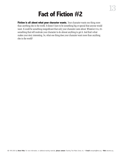## **Fact of Fiction #2**

**Fiction is all about what your character wants.** Your character wants one thing more than anything else in the world. It doesn't have to be something big or special that anyone would want. It could be something insignificant that only your character cares about. Whatever it is, it's something that will motivate your character to do almost anything to get it. And that's what makes your story interesting. So, what one thing does your character want more than anything else in the world?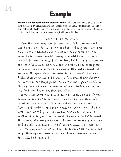#### **Example**

**Fiction is all about what your character wants.** I like to think about characters who are motivated by big dreams, especially if those dreams seem just a little bit impossible. I also like to think of things that catch characters by surprise, things they never knew they wanted but became fascinated with because of some unusual thing that happened to them.

#### WHAT DOES JEREMY WANT?

More than anything else, Jeremy wants to be the youngest world chess champion in history. He's been thinking about this ever since his Uncle Edward came to visit his family after a trip to Russia. Uncle Edward brought Jeremy a beautiful chess set as a present. Jeremy was only 8 at the time, but he was fascinated by the beautiful wooden board and the ornately carved chess pieces. He begged his uncle to teach him how to play and he found that he loved the game almost instantly. His uncle brought him some Russian chess magazines and books, too. And even though Jeremy couldn't read the language, he studied the chess games carefully, playing them out move by move on his board pretending that he was first one player and then the other.

Jeremy has never told anyone about his dream. He doesn't tell anyone because he's afraid they'll laugh at him and think he's weird. He lives in a small town and nobody he knows there is famous, and hardly anyone plays chess. He's very anxious about his dream. For one thing, he's 11 now and that means he only has another 11 or 12 years left to break the record. He has followed the careers of other famous chess players and he knows he's way behind their pace. That's why he's always down in his basement room studying chess on his computer. He practices all the time and keeps thinking that when he becomes famous, everyone in the town will be in awe of him.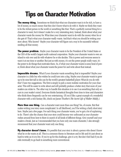## **Tips on Character Motivation**

**The money thing.** Sometimes we think that what our characters want is to be rich, to have a lot of money, so much money that they don't know what to do with it. Maybe we think they want to be the richest person in the world or something like that. That's a perfectly normal thing for a character to want, but it doesn't make for a very interesting story. Instead, think about what your character wants the money for. What does your character want to do with the money when he or she gets it? That's what your character *really* wants. And that's what you should be writing your story about. Who knows? Maybe your character will figure out a way to be successful without needing all that money.

**The power problem.** Maybe your character wants to be the President of the United States or the CEO of the world's largest multi-national corporation. Maybe your character wants to own an island to rule over and do with whatever he or she decides. This is power and everyone seems to want it at one time or another. But just as with money, it's not the power people really want, it's the power to do things that motivates them. So, if what your character wants is some kind of power, think about what your character wants the power for and write about that instead.

**Impossible dreams.** What if your character wants something that is impossible? Maybe your character is a little boy who wishes he could turn into a dog. Maybe your character wants to grow up to be nine feet tall so she can be the world's greatest basketball player. What do you do with this? I have two suggestions. The first is simply to pick a more realistic motivation for your character. This will be easier to write about and will probably produce a better story that more of your readers can relate to. The other way to handle this situation is to use it as something that only occurs in your reader's mind. Everyone thinks fantastical thoughts from time to time and characters who think them frequently can be very entertaining. (If you'd like a great example of a wonderful character with a rich fantasy life, check out James Thurber's *The Secret Life of Walter Middy.)*

**More than one thing.** Can a character want more than one thing? Yes, of course. But that makes writing your story more complicated. In all likelihood, you'll be writing a fairly short story here. Maybe just a few pages. For each thing your character wants, you've got a lot of explaining to do. There's also the chance that your story could become very unfocused as your character rushes around from here to there in search of all kinds of different things. Give yourself and your readers a break. Just as I recommended that you have only one main character, I also strongly recommend that your character want only one thing.

**My character doesn't know.** It's possible that your story is about a person who doesn't know what he or she wants at all. This is a common theme in literature and in life and it's just about as hard to write as it is to live. If you're up for the challenge, give it a try. But don't feel bad if you decide eventually to go back to something more conventional.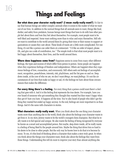## **Things and Feelings**

**Bur what does your character really want? (I mean really really want?)** It's fair to say that human beings are rather complex animals when it comes to the matter of what we want out of our lives. In addition to the normal things that all animals seem to want, things like food, shelter, and safety from predators, human beings want things that have to do with how other people feel about them and how they feel about themselves. For example, most people want to be well-liked and respected. Some want nothing more than to relax and enjoy themselves. Still others want to contribute to the world around them by giving their time or their money to support organizations or causes they care about. These kinds of wants are a little more complicated. For one thing, it's not like a person can order them at a restaurant: "I'd like an order of respect, please. Oh, and give me a side of contribution, too." The simple truth is that what most people want is to feel happy about themselves, their lives, and the world around them.

**Where does happiness come from?** Happiness seems to come from many other different feelings, the types and sources of which differ from person to person. Some people are happiest when they experience feelings of freedom and independence. Others are happiest when they experience feelings of love, connection, and community. Still others seek out feelings of accomplishment, recognition, peacefulness, intensity, risk, playfulness, and the list goes on and on. Deep down inside, at the core of who we are, we don't want *things*, we want *feelings.* It's not the circumstances of our lives that make us happy or sad, it's the feelings we have about those circumstances that makes the difference.

**For every thing there's a feeling.** For every thing that a person could want there's a feeling that goes with it. And it is this feeling that represents the true desire. For example, have you ever heard of someone who got something they thought they wanted but then wasn't happy when they got it? Sure you have. It happens all the time. You've also heard of people who didn't get the thing they wanted but ended up happy anyway. In the end, feelings are more important to us than things. And it's the same with characters in stories.

**What characters really really want.** When you think about the one thing your character wants more than anything else in the world, think also about the feelings your character wants to get from it. In my story, Jeremy wants to be the world's youngest chess champion. But what he really wants is to feel special and unique. He also wants the feeling of being recognized by everyone he knows as a smart and accomplished person. But maybe, deep down inside, all he really wants is a feeling of being liked by the people around him. Maybe the thing that drives him so hard is his desire to be close to other people. But the only way he knows how to do that is to become famous. To me, it's this kind of thinking about a character that makes a story truly great. So when you think about the things your characters want, think also about the feelings they want from those things. Understanding this will do more to improve your story than almost anything else.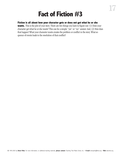## **Fact of Fiction #3**

#### **Fiction is all about how your character gets or does not get what he or she**

**wants.** This is the plot of your story. There are two things you have to figure out: (1) Does your character get what he or she wants? This can be a simple "yes" or "no" answer. And, (2) How does that happen? What your character wants creates the problem or conflict in the story. What sequence of events leads to the resolution of that conflict?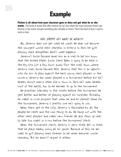#### **Example**

#### **Fiction is all about how your character gets or does not get what he or she**

**wants.** The kinds of stories that often interest me are ones where the main character doesn't get what he or she wants, but gets something else valuable in return. That's the kind of story I want to work on here.

#### DOES JEREMY GET WHAT HE WANTS?

No, Jeremy does not get what he wants. He does not become the youngest world chess champion in history. In fact, he quits playing chess altogether. Here's what happens:

Jeremy's Uncle Edward sends him an e-mail to let him know that the United States Junior Chess Open is going to be held in the big city just a few hours away from the small town where Jeremy lives. Uncle Edward tells Jeremy that this is an opportunity for him to play against the best young chess players in the country. Jeremy has never played in a tournament before but he's beaten almost every other kid in town. In fact, he's even beaten most of the adults, too. So he decides to go to the tournament.

He practices intensely in the months before the tournament. He gets better and better at playing against his computer. Actually, he makes so much progress that when he and his parents leave for the tournament, Jeremy is pretty sure he's going to win.

When they get to the city, Jeremy is fascinated by all the people he meets and the cool things to do. He hangs out with the other chess players and makes new friends. He also stays up really late two nights in a row before the tournament starts.

When the tournament starts, Jeremy is very tired. He's so tired that he plays badly, losing all his games. Because of this, he decides to quit playing chess forever. So he never becomes world champion. But he doesn't regret it either.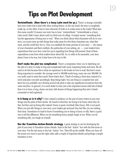## **Tips on Plot Development**

**Verisimilitude. (Now there's a fancy Latin word for ya.)** There's a strange contradiction every writer has to deal with when writing fiction: on the one hand, the story is completely made up, on the other, it has to have elements of truth in to make sense to the reader. What does this mean exactly? It means your story has to have "verisimilitude." Verisimilitude is a fancy Latin word I didn't learn about until my third year of college. It simply means "something that has the appearance of being true or real." When you think about what characters will do in your story, you must come up with things that make sense for who those characters are, what they want, and the world they live in. Once you establish the basic premise of your story — the nature of your characters and their conflicts, the particulars of your setting, etc. — your readers form expectations that your story must live up to regarding how things will proceed. Most of these expectations come from what readers know about life. So, in order to be successful, your story doesn't have to be true, but it does have to be true to life.

**Don't make the plot too complicated.** There's a temptation when you're sketching out the plot of a story to make it long and complicated with many surprising twists and turns. We all want to do this because this is what we experience in the books we love to read. But here's something important to consider: the average novel is 100,000 words long; many are over 200,000. Do you really want to write this much? Most writers don't. Think of writing a short story instead of a novel and plan your plot accordingly. Keep things tight. You can bring in a surprise here and there but you probably can't develop several sub-plots or take any significant excursions from the main storyline. In general, it is much better to have just a few important scenes with lots of detail than it is to have a long, drawn out story with dozens of things happening that aren't closely connected or well explained.

**Is it funny or is it silly?** I have noticed a tendency on the part of some writers to put crazy things into the plots of their stories. My hunch is that they are trying to be funny when they do this, but they end up being silly instead. Funny is good, everybody likes funny. Silly is not good. When you put silly things in your story, your readers get annoyed; they feel like you are wasting their time. Sometimes it's hard to know if something you're doing is funny or silly. Here's a good way to tell the difference: When you do something funny, people laugh at you. When you do something silly, you laugh at yourself.

**Use the Transition-Action-Details strategy.** A great strategy to use for developing the plot of your story is Transition-Action-Details. Start in the first "Action" box with the first scene in your story. Put the last scene in the last "Action" box. Then fill up the middle. When you have all the scenes you want in just the right order, add a couple of important details and perhaps a simple transition or two.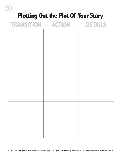# 20 **Plotting Out the Plot Of Your Story TRANSITION ACTION DETAILS**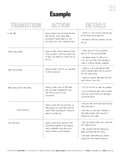#### **Example**

## **TRANSITION ACTION DETAILS**

| In the Fall,                | Jeremy learns from his Uncle Edward<br>that the U.S. Junior Chess Open<br>tournament is being held in a city<br>just a few hours from where he lives. | . Jeremy is not sure he's good enough<br>but his Uncle encourages him.<br>. He doesn't think his parents will let<br>him go.                                                                                       |
|-----------------------------|-------------------------------------------------------------------------------------------------------------------------------------------------------|--------------------------------------------------------------------------------------------------------------------------------------------------------------------------------------------------------------------|
| A few days later,           | Jeremy talks with his parents to ask<br>if he can play in the tournament and<br>if they will take him to the city to<br>be in it.                     | . They ask him a lot of questions<br>about it. It's during spring break.<br>. His father thinks it's OK but his<br>mom isn't sure. Then they decide to<br>make it a family vacation together.                      |
| Over spring break,          | Jeremy drives with his mom and dad<br>to the tournament.                                                                                              | · Jeremy is very excited. He talks<br>with his parents about the tournament<br>for the whole drive.<br>. Jeremy's parents talk about all the<br>neat things in the city.                                           |
| When they get to the hotel, | Jeremy meets many of the other<br>kids who have travelled from all<br>over the country for the<br>tournament.                                         | . It's fun for him to meet new people.<br>. Some of the kids talk with him about<br>chess but mostly they just talk about<br>normal kid things.                                                                    |
| [ No Transition ]           | Jeremy loves the city. He stays up<br>late hanging out with other kids he<br>meets there and doing fun things he<br>doesn't normally do.              | . He loves the restaurants and the big<br>stores downtown.<br>. He stays up way past midnight in<br>the hotel arcade with a group of<br>Friends he's just made.                                                    |
| The next day,               | Jeremy loses all his games at the<br>tournament, decides to quit playing<br>chess completely, and give up his<br>dream of being world champion.       | . He's too tired to play very well and<br>he's really nervous.<br>. He's shocked that he's playing so<br>badly and sad that he's losing.<br>. He leaves that afternoon without<br>staying for the awards ceremony. |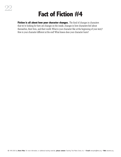#### **Fact of Fiction #4**

**Fiction is all about how your character changes.** The kind of changes in characters that we're looking for here are changes on the inside, changes in how characters feel about themselves, their lives, and their world. What is your character like at the beginning of your story? How is your character different at the end? What lesson does your character learn?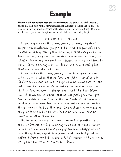#### **Example**

**Fiction is all about how your character changes.** My favorite kind of change is the change that takes place when a character realizes something about himself that he had been ignoring. In my story, my character realizes he's been looking for the wrong thing all the time and decides to give up something important in order to have a chance of getting it.

#### HOW DOES JEREMY CHANGE?

At the beginning of the story, Jeremy is lonely, impatient, competitive, occasionally grumpy, and a little arrogant. He's very focused on his long term goal of becoming a chess champion and he feels that anything that isn't related to achieving that goal, like school or friendships or normal kid activities, is a waste of time. He spends his time playing chess on his computer and rejecting just about everything else in his life.

At the end of the story, Jeremy is sad to be giving up chess and also a bit shocked that he feels like giving it up after only his first tournament. But in a strange way, he knows that it's the right thing for him to do. After making the decision to quit, he starts to feel relieved, as though a big weight has been lifted from his shoulders. He realizes that he was putting too much pressure on himself all the time. He also feels hopeful that now he'll be able to spend more time with friends and do some of the fun things they all do. He still enjoys playing chess and he knows he can play it as a hobby all his life. But he also knows that he wants to do other things, too.

The lesson he learns is that being the best at something isn't the most important thing. In trying to be the best chess player, he realizes how much he was giving up and how unhappy he was even though being a good chess player made him feel proud and different from other kids. In the end, he'd rather just be a normal 6th grader and spend time with his friends.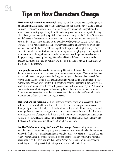## **Tips on How Characters Change**

**Think "inside" as well as "outside".** When we think of how our own lives change, we often think of things like being older, looking different, living in a different city, or going to a different school. These are the obvious things and they do represent important changes for us. But when it comes to writing a great story, these kinds of changes are not the most important. Being taller, playing a new sport, getting a part-time job, these are changes on the "outside," they represent differences in the external circumstances or our lives. But more important changes take place on the "inside." These changes are all about how we feel, what we believe, how we think. The way I see it, it works like this: Because of who we are and the kind of world we live in, there are things we want. In the course of trying to get these things, we go through a variety of experiences. Because what we want is important to us, the experiences of trying to get it are important to us, too. As we go through important experiences, we learn new things, and as we learn new things, we change: we end up thinking differently and feeling differently — on the inside about ourselves, our lives, and the world we live in. This is the kind of change in your character that makes for a great story.

**How people are on the inside.** We use many different words to describe how people are on the inside: temperament, mood, personality, disposition, state of mind, etc. When you think about how your character changes, these are the things you're trying to describe. Often, you will find yourself using "feeling" words to talk about these things. When it comes to thinking about how your character changes, you'll want to think about your character changing in some way on the inside. Maybe your character will become happier or more trusting or more hopeful. Perhaps your character starts out with these good feelings and by the end, he or she feels scared or confused. Characters don't have to feel better, they just have to feel different. And that difference has to be important to the character, to you, and to your readers.

**This is where the meaning is.** If you write your characters well, your readers will identify with them. This means that they will, at least in part, feel the same way your characters do throughout your story. This is why people find stories meaningful, full of importance, value, and inner significance. Some people might argue — and I would be one of them — that this is the most important part of the story. I think that one of the reasons we all like stories so much is that we love to see how characters change on the inside as they go through their lives. I think we like this because it gives us ideas about how to go through our own lives.

**Use the Tell-Show strategy to "show" the change.** You could tell your audience about how your character changes just by saying something like, "Tyler felt sad at the beginning, but now he felt happy." That's short and to the point, but it isn't very effective. It's better if you can "show" your audience the change instead. To do this, use the Tell-Show strategy. Put your character's feelings on the "Tell" side and then, on the "Show" side, describe your character doing something (or not doing something) that represents how your character feels.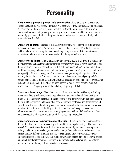#### <sup>25</sup> **Personality**

**What makes a person a person? It's person-ality.** The characters in your story are supposed to represent real people. They're not real people, of course. They're just words on a page. But somehow they have to end up being more than just words to your readers. To turn your characters from words into people, you have to give them personality. And to give your characters personality, you have to think creatively about what your characters do, say, and think, and ultimately, how they feel.

**Characters do things.** Because of a character's personality, he or she will do certain things under certain circumstances. For example, a character who is "mercurial" (volatile; given to sudden and unexpected swings in mood toward anger) might react wildly to a situation when under stress and not react at all in the same situation if they feel safe and calm.

**Characters say things.** What characters say, and how they see it, often gives us a window into their personality. A character who is "pessimistic" (someone who tends to expect the worst, to see things negatively) might say something like this, "I'll never pass that math test no matter how hard I try. I'm going to flunk for sure and then I won't graduate. I won't go to college and I won't get a good job. I'll end up being one of those telemarketer guys sitting all night in a cubicle making phone calls to nice families who are just sitting down to dinner and getting yelled at because nobody likes to have their dinner interrupted especially by some high school dropout who couldn't pass math. Yeah, that's what's going to happen to me. If I don't pass this math test which I won't — I'm going to spend the rest of my life getting yelled at."

**Characters think things.** Often, characters will do or say things but inside they're thinking something different. A character who is "apprehensive" (anxious or fearful about the future) might act as if she's really excited about the upcoming spring dance when, in fact, she's dreading it. She might be energetic and upbeat when she's talking with her friends about what they're all going to wear, but inside she's feeling scared and having stomach aches because she's so stressed out about it. She finds herself dwelling on it all the time. She can't sleep or concentrate on her school work. And it's all because she accidentally agreed to go with two different boys and she's too embarrassed to tell anyone about it or ask for help solving the problem.

**Characters feel a certain way most of the time.** Ultimately, it's how a character feels that matters. But how do characters really feel? Don't their feelings fluctuate just like those of real people? Of course they do. So, to establish a character's personality, we have to show a pattern of feelings. And for that, we need to give our readers many different chances to see how our characters feel in many different situations. Just like you can't get to know someone based on one emotional reaction to one thing you said in one conversation, readers can't get to know a character on such slight evidence either. They need to see how characters feel over time, many times, and in the context of many different sets of circumstances.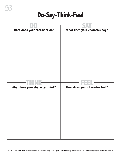#### **Do-Say-Think-Feel**

| What does your character do?    | What does your character say? |
|---------------------------------|-------------------------------|
| What does your character think? | How does your character feel? |
|                                 |                               |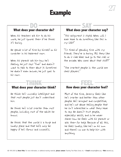#### **Example**

#### **DO** SAY **What does your character do? What does your character say?**

When his teachers ask him to do his work, he just ignores them if he thinks it's boring.

He spends a lot of time by himself on his computer in his basement room.

When his parents ask him how he's feeling, he just says "Fine" and doesn't want to talk to them about it. Sometimes he doesn't even answer, he just goes to his room.

#### **THINK FEEL What does your character think?**

He thinks he's unusually intelligent and that most people just don't understand him.

He thinks he's a lot smarter than most people, including most of the adults he knows.

He thinks that the world is a tough and lonely place and that he'll only be happy if he's famous and successful.

"This assignment is stupid. When will I ever have to do something like this in my life?"

"I'm tired of spending time with my friends. They're so boring. All they like to do is ride bikes and go to the mall or the arcade. Who cares about that stuff?"

"The smartest people in the world are chess players."

#### **How does your character feel?**

Most of the time, Jeremy feels like he's smarter and better than other people. He's arrogant and competitive, and he's not above telling people that he isn't interested in what they have to say. He doesn't trust people, especially adults, and so he never shares how he feels with his parents or asks them for help. Because of all this, he feels lonely, like he's on his own and there's no one to help him with anything.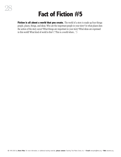#### **Fact of Fiction #5**

**Fiction is all about a world that you create.** The world of a story is made up four things: people, places, things, and ideas. Who are the important people in your story? In what places does the action of the story occur? What things are important in your story? What ideas are expressed in this world? What kind of world is this? ("This is a world where...")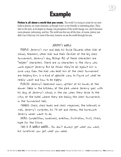#### **Example**

**Fiction is all about a world that you create.** The world I'm trying to create for my story looks to Jeremy, my main character, as though it isn't a very friendly or interesting place. Then, later in the story, as he begins to change, his perceptions of the world change, too, and it becomes more pleasant, welcoming, and fun. The world was this way all the time, of course. Jeremy just didn't see it that way. For most of the story, however, we see the world through his eyes.

#### JEREMY'S WORLD

PEOPLE: Jeremy's mom and dad; his Uncle Edward; other kids at school; teachers; other kids and their families at the big chess tournament; Jeremy's dog, Bishop. All of these characters are "helper" characters. There are no characters in the story who work against Jeremy. But he thinks they're all against him in some way. Even the kids who beat him at the chess tournament are helping him, in a kind of opposite way, to figure out what he really wants and how to be happy.

PLACES: Jeremy's basement room; upstairs at his house; at the dinner table in the kitchen; at the park where Jeremy goes with his dog; at Jeremy's school; in the van when they drive to the  $city$ ; at the hotel where they are having the chess tournament; in the tournament hall.

THINGS: Chess, chess books and chess magazines, the Internet, email, Jeremy's computer, his TV set and stereo, the homework Jeremy never wants to do.

IDEAS: Competition, loneliness, ambition, frustration, trust, stress, hope for the future.

THIS IS A WORLD WHERE... You don't always get what you want, but sometimes you get what you need.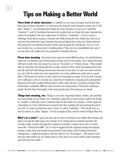## **Tips on Making a Better World**

**Three kinds of minor characters.** In addition to your main character, most stories have three types of minor characters: (1) Characters who help the main character in some way (I call them "helpers"); (2) Characters who hinder the main character in some way (I call them "hinderers"); and (3) Incidental characters who neither help nor hinder the main character but need to be included so the story makes sense (I call them "incidentals"). If you're up for a challenge, think about creating a character who shifts during the story. Maybe they start out as someone who hinders the main character but end up helping him in the end. Maybe someone who seems like an incidental character at first, ends up being the real bad guy. (If you've ever seen Scooby-Doo, you know what I'm talking about.) There are lots of possibilities here and, if you can pull it off, readers love to be surprised by characters this way.

**Places have meaning.** Most stories have scenes in several different places. You should always make sure you describe each of these places in some way for your readers. Don't assume that they will know exactly what you mean if you just say "the school" or "Patricia's house." What readers often do when they hear things like this is make a picture in their mind of something from their own life. But that's like letting someone else write part of your story. (It saves you some work but you can't take the credit and, more importantly, your ersatz collaborator rarely puts in a good effort.) The thing to be aware of is this: places are meaningful to people. If you say that a character is walking by a river, to you that may mean they're headed for a relaxing and contemplative afternoon jaunt. But a reader thinking about a white water raft trip or a picture of Niagra Falls will develop a completely different (and incorrect) set of associations. Places have meaning to people. Describe them thoroughly so the meaning they get is the meaning you intend.

**Things have meaning, too.** Things in your story (important objects, entities, and activities) can mean things to your readers, too. Sometimes, especially in horror stories, authors use things as "symbols" so that they come to represent ideas for the reader. For example, a writer might use a description of a frail, withered tree to stand for the idea of getting old and reaching the end of one's life. If a writer just does this once or twice, it's called "symbolism." If the whole story is a kind of symbol, it's called "allegory." For fun examples of this, read the stories of Edgar Allan Poe.

**What's in a name?** A quick and easy way to convey meaning to your readers about things and places is to pick the right name. For example, if I'm writing about a business executive who controls a large company through the computer on his desk, I might want to give it a brand name like "PowerCenter 6000." Or, if I want to suggest that the employee lounge his company provides is dark, dirty, and located inconveniently at the bottom of the building three floors underground, I might have people in the story refer to it as "the dungeon." This tends to work best only when writers are very subtle about it. (And, just so you know, neither of the examples I gave here were very subtle.)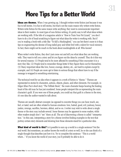## **More Tips for a Better World**

**Ideas are themes.** When I was growing up, I thought writers wrote fiction just because it was fun to tell stories. It is fun to tell stories, but that's not the main reason why writers write fiction. Writers write fiction for the same reason write anything: they want to communicate important ideas to their readers. In most types of non-fiction writing, it's pretty easy to tell what ideas writers are working with. If the title of a magazine article is "How to Train Your Pet Lizard," you don't have to do a lot of head scratching to figure out what ideas the writer is working with. But if you're reading a book with a title like "To Kill a Mockingbird," you can bet there's more to it than tips on engineering the demise of long-tailed gray and white fowl with a talent for vocal mimicry. In fact, there might not be much in the book about mockingbirds at all. Who knows?

When writer's write fiction, they don't just come out and tell you what ideas they are working with. They want to tell you a story and let you figure out the ideas by yourself. They do it this way for several reasons: (1) People tend to be more affected by something if they encounter it in a story they like; (2) People tend to remember things better if they figure them out for themselves; (3) Many important ideas like love, honor, courage, destiny, etc., are hard to explain except by example; and (4) People are more apt to listen to serious things that others have to say if the message is wrapped in something entertaining.

The technical word for an idea when it appears in a work of fiction is "theme." Themes are represented in stories by characters, actions, objects, places, and other elements. For example, in Edgar Allan Poe's short story "The Telltale Heart," the main character keeps hearing the beating heart of the old man he has just murdered. Some people interpret this as representing the main character's guilt. If you were one of those people, you could say that guilt is a theme in the story, it's one idea the author wanted to talk about.

Themes are usually abstract concepts (as opposed to concrete things you can hear, touch, see, feel, or taste) and are often related to human emotions: love, hatred, good, evil, jealousy, honor, justice, revenge, sacrifice, heroism, defeat, and so on. A writer may wish to write about a single theme or the story may include several. Some themes may be apparent to some readers, while other readers simply don't "see" them at all. The act of discovering a theme is called "interpretation." In this case, interpreting a story for a theme involves finding examples in the text that portray certain story elements and showing how those elements stand for a particular idea.

**What kind of world is this?** Is it possible to sum up a world in a single sentence? Not the real world. But sometimes, an author knows the world of a story so well, he or she can think of a single thought that describes just how it is. Try to complete this sentence: "This is a world where..." If you know the world of your story, you'll probably be able to do it.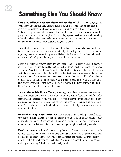## **Something Else You Should Know**

**What's the difference between fiction and non-fiction?** That's an easy one, right? Everyone knows that fiction is false and non-fiction is true. But is it really that simple? Take the newspaper, for instance. By all accounts, newspaper journalism is considered to be non-fiction. But is everything you read in the newspaper true? Hardly. I think that most journalists work diligently to be as accurate as they can, but often what they report differs from the truth in ways large and small. And what about historical fiction? Is that false? Some parts certainly are. But others probably aren't. And where do you put something like advertising?

It seems that what we've heard all our lives about the difference between fiction and non-fiction is itself a fiction. I wouldn't call it wrong per se. After all, it is a widely held belief, one that even this argument, however persuasive it may be, is unlikely to alter. But to call fiction false and non-fiction true is to tell only part of the story, and not even the best part at that.

As I see it, the difference between fiction and non-fiction is this: Non-fiction is all about the world we live in; fiction is all about a world an author creates. (Or, with catchier phrasing and the proper emphasis: Non-fiction is all about *the* world; fiction is all about *a* world.) True or not, news stories in the town paper are all about the world its readers live in. And a novel — even the most realistic novel set in the same town in the present day — is not about that world at all. It's about a special world, a world that is not the one its readers live in but something separate, a world unto itself, created by the author exclusively for the story. It may be just like the real world, but it's a different world entirely. It's the world of the book.

**Look for the truth in fiction.** This way of looking at the difference between fiction and nonfiction is important to me because it means that we can find truth in fiction if we look for it. If we believe that fiction is false, we may miss some of the most important things about a book simply because we won't be looking for them. And, as we do with most things that we think are made up, we won't take fiction very seriously. After all, what's the point if it's all just a lie created solely for harmless entertainment?

**Beware the falsity in non-fiction.** The other reason this way of looking at the difference between fiction and non-fiction is so important to me is because it means that we shouldn't automatically believe that everything we find in a non-fiction medium is true. This is extremely important because non-fiction media are often used to shape the opinions of society as a whole.

**What's the point of all this?** I'm not saying this so you'll believe everything you read in fiction and disbelieve all non-fiction. I'm simply saying that truth is not related to genre as so many of us seem to have been taught. I want you to be a talented critical reader. I want you to determine the truth of things for yourself, to challenge the accuracy of everything you come across, whether you're reading Redwall or the Wall Street Journal.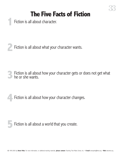Fiction is all about character.

Fiction is all about what your character wants.

Fiction is all about how your character gets or does not get what he or she wants.

Fiction is all about how your character changes.



Fiction is all about a world that you create.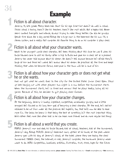#### **Example**

#### **1**Fiction is all about character.

Jeremy, 11, 6th grade. Messy black hair. Short for his age. Smart but doesn't do well in school. Thinks school is boring. Doesn't like his teachers. Doesn't like most adults. Not a happy kid. Never seems content. Energetic and intense, always trying to make things better. Can also be grumpy. Spends time alone. Has a dog named Bishop. Has a huge room in the basement. Has his own TV, a stereo system, and a really fast computer. His favorite thing to do on his computer is play chess.

#### **2**Fiction is all about what your character wants.

Wants to be youngest world chess champion. He's been thinking about this since he was 8 when his Uncle Edward came to visit his family after a trip to Russia and gave him a chess set as a present. Jeremy has never told anyone about his dream. He doesn't tell anyone because he's afraid they'll laugh at him and think he's weird. He's anxious about his dream. He practices all the time and keeps thinking that when he becomes famous, everyone in the town will be in awe of him.

# Fiction is all about how your character gets or does not get what **3**he or she wants.

Does not get what he wants. Goes to the city for the United States Junior Chess Open. Stays up late hanging out with other players two nights in a row before the tournament starts. When the tournament starts, he's so tired and nervous that he plays badly, losing all his games. Because of this, he decides to quit playing chess forever.

#### **4**Fiction is all about how your character changes.

At the beginning, Jeremy is lonely, impatient, competitive, occasionally grumpy, and a little arrogant. He's focused on his long term goal of becoming a chess champion. At the end, he's sad but relieved to be out from under all the pressure. He's hopeful, too, that he'll now be able to have more fun. The lesson he learns is that being the best at something isn't the most important thing. He'd rather feel more like other kids so he can have more friends and do more regular kid things.

#### **5**Fiction is all about a world that you create.

PEOPLE: Jeremy's mom and dad; his Uncle Edward; kids at school; teachers; kids at the tournament; Jeremy's dog, Bishop. PLACES: Jeremy's basement room; upstairs at his house; at the park where Jeremy goes with his dog; at Jeremy's school; at the hotel where they are having the chess tournament. THINGS: Chess, the Internet, e-mail, Jeremy's computer, the homework Jeremy never wants to do. IDEAS: Competition, loneliness, ambition, frustration, trust, stress, hope for the future.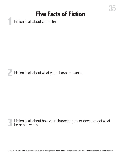35

Fiction is all about character.



Fiction is all about how your character gets or does not get what he or she wants.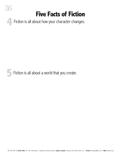**4** Fiction is all about how your character changes.

36

**5**Fiction is all about a world that you create.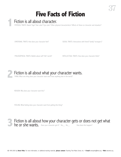#### Fiction is all about character. **1**

PHYSICAL TRAITS: Name? Age? Hair color? Eye color? Other physical characteristics? Affects of these on character and situation?

EMOTIONAL TRAITS: How does your character feel?

SOCIAL TRAITS: Interactions with friend? family? strangers?

PHILOSOPHICAL TRAITS: Beliefs about self? life? world?

INTELLECTUAL TRAITS: How does your character think?



Fiction is all about what your character wants. **2**

THING: What one thing does your character want more than anything else in the world?

REASON: Why does your character want this?

FEELING: What feeling does your character want from getting this thing?



**Fiction is all about how your character gets or does not get what he or she wants.** Does your character get it? Yes\_ No\_\_\_\_\_\_\_How does this happen? **he or she wants.** Does your character get it? Yes\_ No\_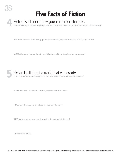#### Fiction is all about how your character changes. **4**

BEGINING: What is your character like (feelings, personality, temperament, disposition, mood, state of mind, etc.) at the beginning?

END: What is your character like (feelings, personality, temperament, disposition, mood, state of mind, etc.) at the end?

LESSON: What lesson does your character learn? What lesson will the audience learn from your character?



PLACES: What are the locations where the story's important scenes take place?

THINGS: What objects, entities, and activities are important in the story?

IDEAS: What concepts, messages, and themes will you be working with in this story?

THIS IS A WORLD WHERE...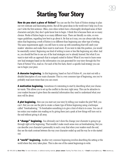## **Starting Your Story**

39

**How do you start a piece of fiction?** You can use the Five Facts of Fiction strategy to plan out very intricate and fascinating stories. But all the great ideas in the world won't help you if you can't write the first sentence. Often, even when writers have a thoroughly developed sense of their characters and plot, they don't quite know how to begin. I think this is because there are so many choices. Works of fiction begin in so many different ways. There are literally no rules, or even vague guidelines, regarding how best to go about it. Be that as it may, you can always take the position that beginning a work of fiction is no different than beginning any other type of writing. The same requirements apply: you still have to come up with something that will catch your readers' attention and make them want to read more. If you were to take this position, you would be essentially correct. Beginning one kind of writing is more or less like beginning any other. And so, you should feel free to use any of the lead strategies you've already learned. But what if you want to start with an approach that is uniquely suited to fiction? What if you want to learn some new lead strategies based on the information you just generated for your story through the Five Facts of Fiction? If so, read on. For each of the five facts, there's a specific lead strategy you can use to begin your piece.

**A character beginning.** In this beginning, based on Fact of Fiction #1, you start out with a detailed description of your main character. This is a very common type of beginning, one you've probably read more times than you can count.

**A motivation beginning.** Sometimes it's interesting to start by describing what your character wants. This allows you to set up the conflict in the story right away. This can be attractive to your readers because it gives them the essential information they need to understand what your story will be about.

**A plot beginning.** How can you start out your story by telling your readers the plot? Well, you can't. But you can use the plot to create a classic type of fiction beginning using a technique called "foreshadowing." To foreshadow something is to give a hint of what is to come. You can often entice your readers into reading on by giving them just a peak at how things will turn out in the end without giving it all away.

**A "change" beginning.** You obviously can't show the change your character is going to go through right at the beginning. That wouldn't make much sense even as foreshadowing. But you can describe your character's personality in such a way that when your readers reach the end, they see the stark contrast between the way your character ended up and the way he or she started out.

**A "world" beginning.** Another very common beginning involves describing the setting or the world where they story takes place. This is also one of the easiest beginnings to write.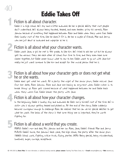#### **Eddie Takes Off**

#### **1**Fiction is all about character.

Eddie is in high school. He's shy and a little awkward. He has a special ability that most people don't understand. He's always being taunted, teased, and even beaten up by his nemesis, Alex Johnson because of something that happened between Alex and Eddie when they were five. Eddie feels lonely most of the time, like he doesn't fit in. He has a couple of friends, Max and Jerry, who are just about as awkward and unpopular as he is.

40

#### **2**Fiction is all about what your character wants.

Eddie wants Jane, a girl he met in 9th grade, to like him. He's tried to ask her out but he always gets too nervous. They see each other at school from time to time, and they even have some classes together, but Eddie never knows what to say to her. Eddie wants to go out with Jane but really he just wants someone to like him and accept for the unusual person that he is.

# Fiction is all about how your character gets or does not get what **3**he or she wants.

Eddie does get what he wants. At a party the night of the senior prom, Eddie rescues Jane from her date, Alex Johnson. Alex and Jane are having an argument when Eddie rushes in to break things up. Alex gets scared because of what happened between he and Eddie back when they were five. Eddie leaves the party with Jane.

#### **4**Fiction is all about how your character changes.

In the beginning, Eddie is lonely, shy, and awkward. He feels sorry himself most of the time. He's a victim who is always getting teased and picked on. At the end of the story, Eddie suddenly becomes courageous enough to challenge Alex. He realizes that he can use his special abilities to get what he wants. The lesson of the story is that some things are so important, they're worth fighting for.

#### **5**Fiction is all about a world that you create.

PEOPLE: Eddie's mom and dad, Mrs. Johnson and her son Alex, Jane, Eddie's friends Max and Jerry. PLACES: Eddie's home, the Johnson's back yard, the high school, the party after the senior prom. THINGS: School work, fighting, a blue truck, flying, parties. IDEAS: Being special, being misunderstood, loneliness, anger, courage, acceptance.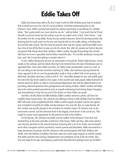#### **Eddie Takes Off**

Eddie had always been able to fly, but it wasn't until his fifth birthday party that he realized that it would turn out to be a bit of a social problem. Until that embarrassing day on the Johnsons' lawn, Eddie's parents had treated his airborne peculiarity as something of a childish whim. "Boy's gotta stretch out, learn what he can do," said his father. "I just worry that he'll hurt himself, you know, bump into the ceiling or get his eye poked out by a bird, I don't know..." said his mother. For the young Eddie, flying was just another discovery about his developing body, like learning that he could reach out his arm and ring the bell on his cradle railing, or finding that he loved the taste of peas. The first time his parents came into the nursery and found Eddie hovering a foot or two off the floor it came as a bit of a shock. But, after all, parents are forever discovering special little things about their children. Eddie's mother thought that perhaps they should take their son to see a specialist, but his father vetoed the idea. "It's not like anything's wrong with him, and I don't want him getting a complex about it."

In fact, Eddie's flying soon became an annoyance to his parents. Broken light fixtures, crayon marks on the ceilings, and lost objects that had to be retrieved from the tops of bookcases soon exasperated them. Once when Eddie was three, his rather senile grandmother came for a visit. As she was sitting in her favorite armchair watching TV, Eddie, who had been playing behind the chair, appeared in the air over his grandmother, ready to drop a rubber ball on her graying, addled head. His father shot him a look so full of "No!" that Eddie desisted at once and sulkily spent the rest of the day firmly seated on the carpet. As the months and years passed, Eddie learned to be reticent about his ability in order to avoid parental displeasure; this had the added benefit of not provoking awkward questions from grandparents and visiting relatives. Eddie's mother and father also took certain prudent precautions such as a gentle restraining hand during diaper changing and remembering to close the sun roof of the family car when Eddie was inside.

And then, shortly before his fifth birthday, Eddie's mother received a phone call from her neighbor three houses down. Mrs. Johnson was offering to throw a little birthday bash for Eddie's fifth with some of the neighborhood kids. Eddie's mother eagerly accepted, and the two agreed how wonderful it would be for Eddie and the Johnsons' five-year-old, Alex, to make friends. Eddie's mother was secretly pleased at the invitation for another reason: Mr. Johnson was on the community council, and the Johnsons lived in the biggest, nicest house in the cul-de-sac. This might be a great social opportunity for the parents as well as the children.

On the big day, Mrs. Johnson met Eddie and his mother at the Johnsons' front door and showed them to the back yard after a brief tour of the house. Eddie and Alex, after some preliminary shyness, got down to the serious business of playing with a set of toy trucks, and eventually seven other youngsters arrived, escorted by various parents and babysitters. Eddie was treated to a large assortment of presents and Mrs. Johnson's cake proved popular with both children and adults. Soon the bedlam of children who have eaten too much sugar reigned, so nobody noticed that Eddie and Alex were having a disagreement over possession of one of the toy trucks. Alex, who was large for his age, was keeping a particularly desirable blue garbage truck out of Eddie's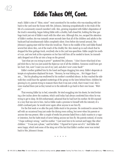reach. Eddie's cries of "Mine, mine!" went unnoticed by his mother, who was standing with her back to the yard near the house with Mrs. Johnson, listening sympathetically to the trials of the life of a community council-member's wife. Alex, growing impatient with Eddie's disputation of the truck's ownership, began hitting Eddie with a chubby, half-closed fist, holding the blue garbage truck just out of Eddie's reach with the other arm. Although this, too, escaped the attention of Eddie's mother, she was instantly aware seconds later that all of the children and adults in the backyard had simultaneously fallen completely silent. Even before she turned around, Mrs. Johnson's gaping stare told her what she would see. There in the middle of the yard Eddie floated several feet above Alex, out of the reach of the chubby fist. Alex stared up in such shock that he dropped the blue garbage truck, everybody else in the yard was speechless. Eddie caught his mother's eye, and one look at the expression on her face told him all he needed to know; he immediately dropped out of the air into a heap on the ground.

"Just what are you trying to prove?" sputtered Mrs. Johnson. "I don't know what kind of stupid trick this is, but you just scared the *bejeezus* out of all the children. Someone could have gotten hurt. Out, now! I want you out of my yard, and *don't ever come back!"*

Eddie's mother grabbed him by the hand and began dragging him away. Eddie's desperate attempts at explanation displaced his tears. "Mommy, he was hitting me.... He's bigger than I am...." But his pleading was swallowed by his mother's mortified silence. As they reached the sidewalk they could hear the agitated mutterings of the group on the lawn behind them: children beginning to cry, parents trying to reassure them that it was just a trick, that it wasn't real. Alex's voice reached them just as they turned on to the sidewalk to go back to their own house: *"Weirdo!"*

That evening Eddie lay in bed, miserable. He tried snuggling into his sheets; he tried levitating a few inches above the mattress, which until today had always comforted him when he was trying to get to sleep. He felt embarrassed, ashamed that he had hurt his mother. He felt exposed in a way that was new to him. And so Eddie made a promise to himself with the intensity of a child's confused pain: he would never again allow anyone to see him fly.

For the first week or so after the party Eddie stuck to his promise. He continued to amuse himself with an occasional loop just under the dining room ceiling, but never when his parents or anyone else was present. After a couple of weeks his promise faded from a daily mantra to a vaguer intention, but the habit stuck of never letting anyone see him fly. His parents noticed, of course. "I hope nothing's wrong," said his mother. "I just want him to be normal and happy like other children." "It was just a phase," said his father. "I figured he'd grow out of it." And Eddie did seem happy, which took some of the sting out of the fact that Eddie's mother never was invited back to Mrs. Johnson's house.

\* \* \* \* \*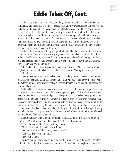Eddie slowly shuffled out of the school building carrying his book bag. Only three days into ninth grade and already it was a drag — boring classes, no new friends, too much homework. He walked down the sidewalk, lost in depressing thoughts about school, until he became aware, seconds too late, of the footsteps of three boys running up behind him. He felt the first blow on his back, causing him to stumble and drop his bag, which was promptly kicked into the bushes by another of the three. Books and papers flew everywhere. As he turned to face his attackers a fist slammed into his stomach, knocking the wind out of him and causing him to collapse on the ground. He heard laughter and a familiar voice shout *"Weirdo!"* above him. The three boys ran off, one of them saying, "Good one, Johnson!"

Eddie sat there for a minute trying to regain his breath. Then he crawled over to the bushes on his hands and knees and half-heartedly began collecting the spilled contents of his book bag. As he reached for the math worksheet due tomorrow a small, delicate hand wearing nail gloss and a pinkie ring grabbed it. He looked up at the owner of the hand. She was blond, with more freckles than he'd ever seen in his life.

"Hi, I'm Jane. I'm in your Science class. Here, lemme help you." She picked up the remaining books and put them into Eddie's bag while he held it open. "What's your name?"

"Um, Eddie."

"Nice to meet you, Eddie." She smelled great. "That Alex Johnson is the biggest jerk. I don't know why he's so mean. Well, that's all your stuff. I gotta run. See you tomorrow in class." As Eddie watched her walk away he didn't notice his aching stomach. And he didn't notice that he was grinning like an idiot.

Eddie suddenly developed an intense interest in Science class. He took advantage of every opportunity to say a few words to Jane: "Here, you dropped your pen." "Think it'll rain during gym class this afternoon?" Once Eddie and Jane were lab partners. They finished the assignment successfully, although Eddie burned his thumb on a Bunsen burner. He barely even noticed, he was so nervous. Jane was always polite, but she never really got involved in conversation with him. In fact, she didn't treat Eddie any differently from any of the other boys in the class. Jane, on the other hand, was all that Eddie could think about. Eddie would lie awake in his bed at night thinking about her. He would slowly levitate off the mattress, raising his brown comforter from underneath, looking like a loaf of bread rising in the oven.

Eddie didn't know what to do. One evening he approached his mother, who was sitting in front of the TV knitting something large and blue with great determination.

"Mom," he started, "there's this girl in my Science class...."

"What's her name?" His mother kept knitting.

"Her name's Jane, and she's... well, I mean, I kind of —"

"What is it, dear?" Knit, knit, knit.

"Never mind, Mom."

The next evening Eddie made up his mind to call Jane and ask her out on a date. He waited until after dinner, then left his parents in front of the TV to use the upstairs phone. He paced for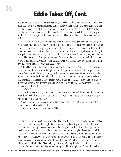about twenty minutes, his palms getting sweaty. He picked up the phone, held it for a while, then put it back down and paced some more. Finally, barely realizing what he was doing, he picked up the phone again and dialed Jane's number. She answered on the second ring. "Hello?" Eddie couldn't make a sound come out of his mouth. "Hello? Is there anybody there?" Jane hung up, leaving Eddie listening to the dial tone for a minute. Then he set down the phone and went to bed.

For the rest of the school year Eddie was inconsolable. He no longer even had the courage to try to make small talk with Jane. When she would make some casual comment to him in class he would stammer and flee as quickly as he could. It felt like the only social contact he had for all those months was the continual baiting and occasional beating from Alex Johnson. Eventually it was spring, and then the last day of school. This was it, Eddie knew; if he didn't ask Jane out today he would never make it through the summer. After the last class he waited in the hall near Jane's locker. When he saw her walking to her locker he stepped toward her, forcing himself not to think about anything except for what he needed to say.

"Hi, Eddie, it's good to see you. How're you doing?" Jane smiled. It seemed like she was genuinely glad to see him. Maybe, just maybe, she would agree to a date. Eddie felt a surge of optimism. In fact he felt almost giddy, so giddy that he was on the verge of lifting into the air without even realizing it. His heels were off the floor, leaving him standing on tiptoe. If only Jane knew how special he was! He could show her, she would understand! He felt so happy that he hadn't realized that someone was standing behind him. *Bam!* He went flying into the lockers face first, then crumpled to the floor.

*"Weirdo!"*

44

"Alex! Pick on somebody your own size!" Jane was watching Alex Johnson and his friends run away down the hall. She turned back to Eddie, who was wiping at the blood that was starting to run from his nose. "Are you okay?"

"Yeah, I'm fine. Have a good summer, Jane." Eddie walked down the hall and out of the school building as fast as he could.

It was a long, miserable summer for Eddie.

\* \* \* \* \*

The senior prom wasn't turning out at all like Eddie had expected. He had never really gotten over Jane. He had managed a couple of dates with other girls during high school, but they never really amounted to anything — compared to Jane, any other girl fell short. The biggest impact she had wound up having on his life was that since that humiliating last day of ninth grade he had never flown again, not even in private. He wasn't sure if he was even still able to fly, and he wasn't sure if he cared. Over the years he had thought many times about taking Jane to the senior prom, but wasn't really surprised to find himself here tonight, not with the girl of his dreams, but with a couple of his buddies, Max and Jerry. "Stag night!" they'd said to each other, and laughed. *Loser night,* they'd thought to themselves, and sighed. Still, the night hadn't been that bad, and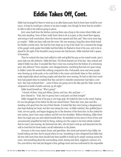Eddie had arranged for them to wind up at an after-dance party that he knew Jane would be coming to. At least he would get a chance to see Jane tonight, even though he knew that he wouldn't be able to talk to her without going to pieces.

Jerry came back from the kitchen carrying three cans of pop to the corner where Eddie and Max were standing. None of them really knew what to do at a party, so they stood there sipping and trying to look nonchalant, when the front door opened and Max said "Here come some happy couples." Eddie saw Jane walk into the room. She was wearing a long blue dress which bared her freckle-covered arms. She had her hair swept up on top of her head. For a moment the image of the gangly ninth grader that Eddie had first fallen for flashed in front of his eyes, only to be replaced by the sight of the beautiful young woman she had become. Eddie twitched with a spasm of heartache.

Then he noticed who Jane had walked in with and spilled his pop on his rented tuxedo. Jane's prom date was *Alex Johnson.* Eddie felt faint. The blood drained out of his face. Max noticed and asked if Eddie was okay. It sounded like Max's voice was coming from the bottom of a swimming pool. *Alex Johnson!* Every injustice, every disappointment, everything that had ever gone wrong in Eddie's entire life seemed like nothing compared to this. Fortunately more and more people were showing up at the party, so he could hide in the corner and silently listen to Max and Jerry make stupid jokes about arriving couples and what they were wearing. He had no idea how much time had passed when he realized that Max and Jerry's infantile commentary had taken a new turn. Max had overheard that "...some of them are going out to the lake past the Valley Acres development to build a bonfire and stay up all night."

Eddie heard himself say "Who's going?"

"A bunch of them. Greg and Allison, Jeremy and Lisa, Alex and Jane —"

Jerry chimed in: "Yeah, they're gonna have a real party out there tonight!"

Eddie chugged the rest of his pop in one huge gulp. He looked for Jane in the crowd, hoping for one last glimpse of her before his life was ruined forever. There they were, Jane and Alex, standing a bit apart from the rest of their friends. It looked like they were having a disagreement. Jane kept shaking her head, and Alex was raising his voice. As Eddie watched, Alex grabbed Jane's wrist, not very gently, and began dragging her in the direction of the front door. As Alex jerked her into motion, Jane's hair came undone and fell over her shoulders. Without thinking, Eddie threw down his empty pop can and rushed towards them. He stretched out his arms in front of him and unconsciously propelled his body by flying, rushing over the carpet so low that nobody realized that he wasn't just running. He slammed into Alex, who let Jane's wrist go and slammed into the wall so hard that his head made a small indentation in the plaster.

Everyone in the room stared, frozen and speechless. Alex stood and turned to face Eddie, his hands balling into fists. But he stayed where he was. Something in him whispered that Eddie had hit him with more force than should have been possible to build up by simply running across the room. And something about the surrounding crowd, staring and silent, triggered a memory of a five-year-old boy who had just dropped a blue garbage truck and was confronted by the impossible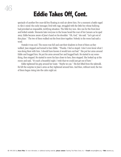spectacle of another five-year-old boy floating in mid-air above him. For a moment a battle raged in Alex's mind: the cocky teenager, livid with rage, struggled with the little boy whose bullying had provoked an impossible, terrifying situation. The little boy won. Alex ran for the front door and bolted outside. Moments later everyone in the house heard the roar of his Camaro as he sped away. Eddie became aware of Jane's hand on his shoulder. "Oh, God," she said. "Let's get out of this place." The two of them walked out the front door together. Nobody in the room had said a word.

Outside it was cool. The moon was full and cast their shadows in front of them as they walked. Jane stopped and turned to face Eddie. "Thanks. I feel so stupid. I don't even know what I was doing there with him. I should have known it would turn out bad." She put her arms around Eddie and hugged him. He put his arms around her and hugged back. He started to say something, then stopped. He started to move his face closer to hers, then stopped. She looked up at the moon and said, "It's such a beautiful night. I wish that we could just get out of here."

Eddie tightened his grip around her waist. "Maybe we can." His feet lifted from the sidewalk. He felt the surprise in Jane's arms as they tightened around him. And then, without word, the two of them began rising into the calm night air.